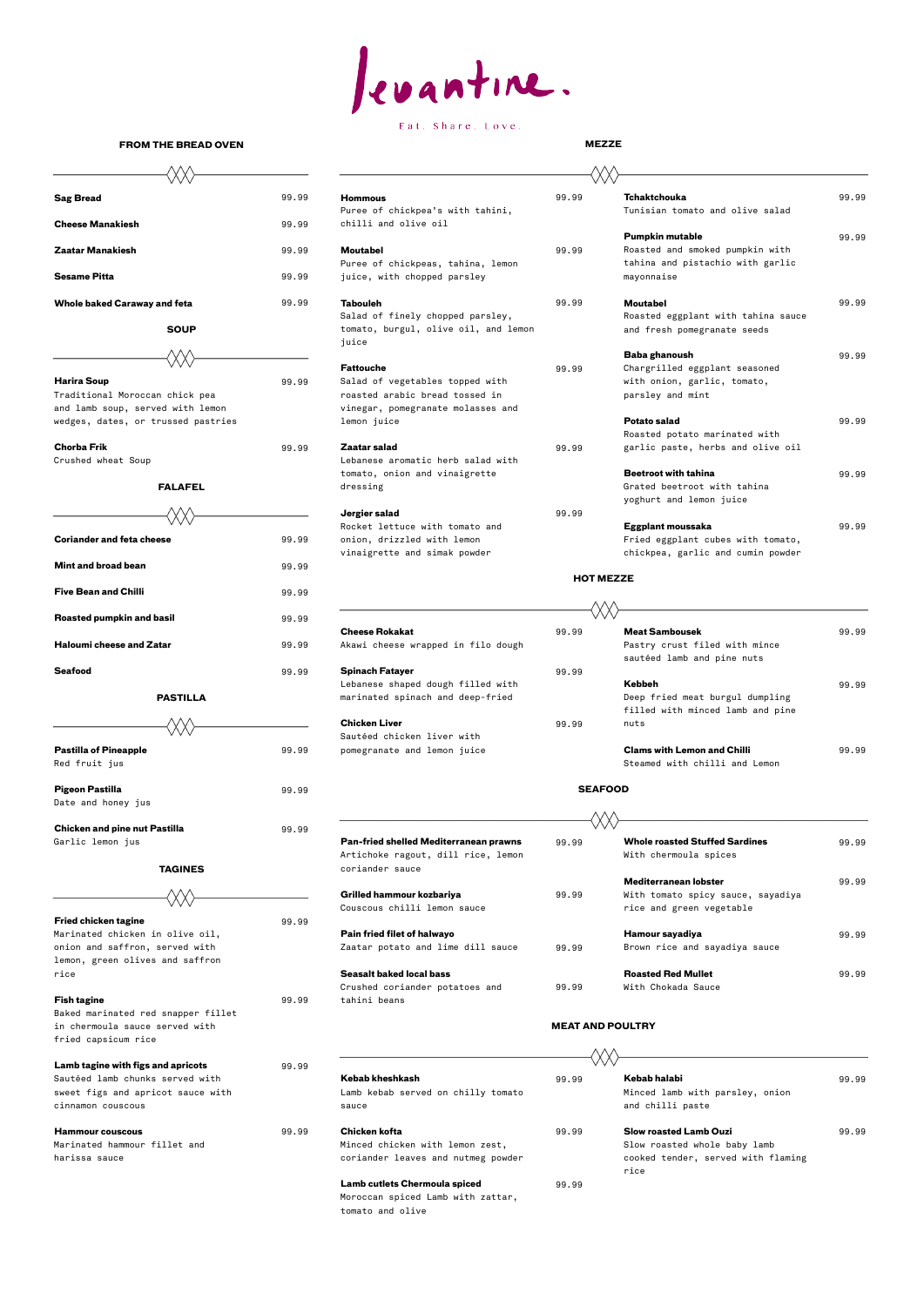

## Eat. Share. Love.

| <b>Sag Bread</b>                    | 99.99 | <b>Hommous</b><br>Puree of chickpea's with tahini,                                | 99.99 | <b>Tchaktchouka</b><br>Tunisian tomato and olive salad            | 99.99 |
|-------------------------------------|-------|-----------------------------------------------------------------------------------|-------|-------------------------------------------------------------------|-------|
| <b>Cheese Manakiesh</b>             | 99.99 | chilli and olive oil                                                              |       |                                                                   |       |
|                                     |       |                                                                                   |       | <b>Pumpkin mutable</b>                                            | 99.99 |
| <b>Zaatar Manakiesh</b>             | 99.99 | <b>Moutabel</b>                                                                   | 99.99 | Roasted and smoked pumpkin with                                   |       |
| <b>Sesame Pitta</b>                 | 99.99 | Puree of chickpeas, tahina, lemon<br>juice, with chopped parsley                  |       | tahina and pistachio with garlic<br>mayonnaise                    |       |
| <b>Whole baked Caraway and feta</b> | 99.99 | <b>Tabouleh</b>                                                                   | 99.99 | <b>Moutabel</b>                                                   | 99.99 |
| <b>SOUP</b>                         |       | Salad of finely chopped parsley,<br>tomato, burgul, olive oil, and lemon<br>iuice |       | Roasted eggplant with tahina sauce<br>and fresh pomegranate seeds |       |
|                                     |       |                                                                                   |       | Baba ghanoush                                                     | 99.99 |
|                                     |       | <b>Fattouche</b>                                                                  | 99.99 | Chargrilled eggplant seasoned                                     |       |
| <b>Harira Soup</b>                  | 99.99 | Salad of vegetables topped with                                                   |       | with onion, garlic, tomato,                                       |       |
| Traditional Moroccan chick pea      |       | roasted arabic bread tossed in                                                    |       | parsley and mint                                                  |       |
| and lamb soup, served with lemon    |       | vinegar, pomegranate molasses and                                                 |       |                                                                   |       |
| wedges, dates, or trussed pastries  |       | lemon juice                                                                       |       | <b>Potato salad</b>                                               | 99.99 |
|                                     |       |                                                                                   |       | Roasted potato marinated with                                     |       |
| <b>Chorba Frik</b>                  | 99.99 | Zaatar salad<br>Lebanese aromatic herb salad with                                 | 99.99 | garlic paste, herbs and olive oil                                 |       |
| Crushed wheat Soup                  |       | tomato, onion and vinaigrette                                                     |       | <b>Beetroot with tahina</b>                                       | 99.99 |
| <b>FALAFEL</b>                      |       | dressing                                                                          |       | Grated beetroot with tahina                                       |       |
|                                     |       |                                                                                   |       | yoghurt and lemon juice                                           |       |
|                                     |       | Jergier salad                                                                     | 99.99 |                                                                   |       |
|                                     |       | Rocket lettuce with tomato and                                                    |       | Eggplant moussaka                                                 | 99.99 |
| <b>Coriander and feta cheese</b>    | 99.99 | onion, drizzled with lemon                                                        |       | Fried eggplant cubes with tomato,                                 |       |
|                                     |       | vinaigrette and simak powder                                                      |       | chickpea, garlic and cumin powder                                 |       |
| والموجوعا المحرم فحزالها            | 0000  |                                                                                   |       |                                                                   |       |

| Cheese Rokakat |                                    |  |  |
|----------------|------------------------------------|--|--|
|                | Akawi cheese wranned in filo dough |  |  |

| <b>Cheese Rokakat</b>              | 99.99 | <b>Meat Sambousek</b>              | 99.99 |
|------------------------------------|-------|------------------------------------|-------|
| Akawi cheese wrapped in filo dough |       | Pastry crust filed with mince      |       |
|                                    |       | sautéed lamb and pine nuts         |       |
| Spinach Fatayer                    | 99.99 |                                    |       |
| Lebanese shaped dough filled with  |       | <b>Kebbeh</b>                      | 99.99 |
| marinated spinach and deep-fried   |       | Deep fried meat burgul dumpling    |       |
|                                    |       | filled with minced lamb and pine   |       |
| Chicken Liver                      | 99.99 | nuts                               |       |
| Sautéed chicken liver with         |       |                                    |       |
| pomegranate and lemon juice        |       | <b>Clams with Lemon and Chilli</b> | 99.99 |
|                                    |       | Steamed with chilli and Lemon      |       |

**MEAT AND POULTRY**  $\overline{A}$   $\overline{A}$   $\overline{A}$ 

| <b>Pan-fried shelled Mediterranean prawns</b>         | 99.99 | <b>Whole roasted Stuffed Sardines</b> |
|-------------------------------------------------------|-------|---------------------------------------|
| Artichoke ragout, dill rice, lemon<br>coriander sauce |       | With chermoula spices                 |
|                                                       |       | Mediterranean lobster                 |
| Grilled hammour kozbariya                             | 99.99 | With tomato spicy sauce, sayadiya     |
| Couscous chilli lemon sauce                           |       | rice and green vegetable              |
| <b>Pain fried filet of halwayo</b>                    |       | Hamour sayadiya                       |
| Zaatar potato and lime dill sauce                     | 99.99 | Brown rice and sayadiya sauce         |
| Canadia bahad baad baas                               |       | Because Bed Medical                   |

## Tunisian tomato and olive salad **Pumpkin mutable** 99.99 tahina and pistachio with garlic Roasted eggplant with tahina sauce and fresh pomegranate seeds **Baba ghanoush** 99.99 Chargrilled eggplant seasoned Roasted potato marinated with **the Beetroot with tahina** 99.99 Grated beetroot with tahina yoghurt and lemon juice **Eggplant moussaka** 99.99

| <b>Chicken and pine nut Pastilla</b> | 99.99 |                                               |       |                                       |       |
|--------------------------------------|-------|-----------------------------------------------|-------|---------------------------------------|-------|
| Garlic lemon jus                     |       | <b>Pan-fried shelled Mediterranean prawns</b> | 99.99 | <b>Whole roasted Stuffed Sardines</b> | 99.99 |
|                                      |       | Artichoke ragout, dill rice, lemon            |       | With chermoula spices                 |       |
| <b>TAGINES</b>                       |       | coriander sauce                               |       |                                       |       |
|                                      |       |                                               |       | Mediterranean lobster                 | 99.99 |
|                                      |       | Grilled hammour kozbariya                     | 99.99 | With tomato spicy sauce, sayadiya     |       |
|                                      |       | Couscous chilli lemon sauce                   |       | rice and green vegetable              |       |
| <b>Fried chicken tagine</b>          | 99.99 |                                               |       |                                       |       |
| Marinated chicken in olive oil,      |       | Pain fried filet of halwayo                   |       | Hamour sayadiya                       | 99.99 |
| onion and saffron, served with       |       | Zaatar potato and lime dill sauce             | 99.99 | Brown rice and sayadiya sauce         |       |
| lemon, green olives and saffron      |       |                                               |       |                                       |       |
| rice                                 |       | <b>Seasalt baked local bass</b>               |       | <b>Roasted Red Mullet</b>             | 99.99 |

| <b>Fish tagine</b> |
|--------------------|
|                    |

Crushed coriander potatoes and 99.99 With Chokada Sauce

**Fish tagine** 99.99 tahini beans

tomato

Baked marinated red snapper fillet in chermoula sauce served with fried capsicum rice

| <b>Hammour couscous</b>      |  |  |  |  |  |
|------------------------------|--|--|--|--|--|
| Marinated hammour fillet and |  |  |  |  |  |
| harissa sauce                |  |  |  |  |  |

| Lamb tagine with figs and apricots | 99.99 |                                      | VΛ    |                                    |       |  |
|------------------------------------|-------|--------------------------------------|-------|------------------------------------|-------|--|
| Sautéed lamb chunks served with    |       | Kebab kheshkash                      | 99.99 | Kebab halabi                       | 99.99 |  |
| sweet figs and apricot sauce with  |       | Lamb kebab served on chilly tomato   |       | Minced lamb with parsley, onion    |       |  |
| cinnamon couscous                  |       | sauce                                |       | and chilli paste                   |       |  |
| <b>Hammour couscous</b>            | 99.99 | Chicken kofta                        | 99.99 | <b>Slow roasted Lamb Ouzi</b>      | 99.99 |  |
| Marinated hammour fillet and       |       | Minced chicken with lemon zest,      |       | Slow roasted whole baby lamb       |       |  |
| harissa sauce                      |       | coriander leaves and nutmeg powder   |       | cooked tender, served with flaming |       |  |
|                                    |       |                                      |       | rice                               |       |  |
|                                    |       | <b>Lamb cutlets Chermoula spiced</b> | 99.99 |                                    |       |  |
|                                    |       | Moroccan spiced Lamb with zattar,    |       |                                    |       |  |
|                                    |       | tomato and olive                     |       |                                    |       |  |

## **FROM THE BREAD OVEN MEZZE**

# **Cheese Manakiesh** 99.99 **SOUP** and lamb soup, served with lemon Crushed wheat Soup **FALAFEL** (XX) **Mint and broad bean** 99.99 **Five Bean and Chilli** 2018 **199.99 Roasted pumpkin and basil 199.99.99 Haloumi cheese and Zatar 199.99 Akawi cheese with**  $\frac{99.99}{2}$ **Seafood** 99.99 **Spinach Fatayer** 99.99 **PASTILLA Pastilla of Pineapple 199.99 pomegranate and lemon juice Pastilla of Pineapple** Red fruit jus Steamed with chilli and Lemon (Red fruit just and Lemon (Red fruit just and Lemon (Red fruit and Pigeon Pastilla **Pigeon Pastilla** 99.99 Date and honey jus **Chicken and pine nut Pastilla** 99.99 Garlic lemon jus **TAGINESFried chicken tagine** 99.99

## **HOT MEZZE**

### **SEAFOOD**